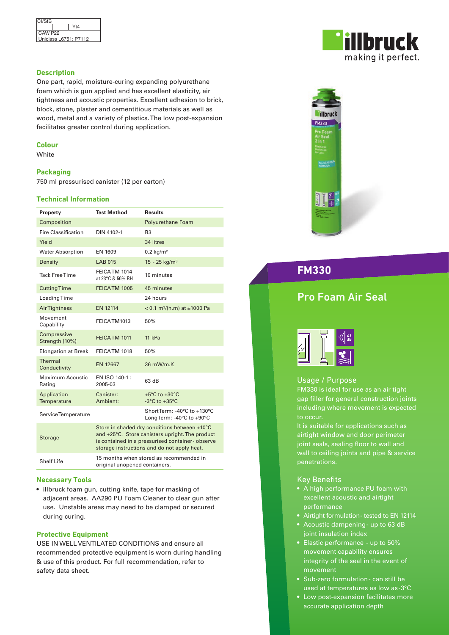

### **Description**

One part, rapid, moisture-curing expanding polyurethane foam which is gun applied and has excellent elasticity, air tightness and acoustic properties. Excellent adhesion to brick, block, stone, plaster and cementitious materials as well as wood, metal and a variety of plastics. The low post-expansion facilitates greater control during application.

### **Colour**

White

### **Packaging**

750 ml pressurised canister (12 per carton)

### **Technical Information**

| Property                      | <b>Test Method</b>                                                                                                                                                                                | <b>Results</b>                                           |
|-------------------------------|---------------------------------------------------------------------------------------------------------------------------------------------------------------------------------------------------|----------------------------------------------------------|
| Composition                   |                                                                                                                                                                                                   | <b>Polyurethane Foam</b>                                 |
| <b>Fire Classification</b>    | DIN 4102-1                                                                                                                                                                                        | B <sub>3</sub>                                           |
| Yield                         |                                                                                                                                                                                                   | 34 litres                                                |
| <b>Water Absorption</b>       | EN 1609                                                                                                                                                                                           | $0.2$ kg/m <sup>2</sup>                                  |
| Density                       | <b>LAB 015</b>                                                                                                                                                                                    | $15 - 25$ kg/m <sup>3</sup>                              |
| <b>Tack Free Time</b>         | FEICATM 1014<br>at 23°C & 50% RH                                                                                                                                                                  | 10 minutes                                               |
| <b>Cutting Time</b>           | FEICATM 1005                                                                                                                                                                                      | 45 minutes                                               |
| Loading Time                  |                                                                                                                                                                                                   | 24 hours                                                 |
| <b>AirTightness</b>           | <b>EN 12114</b>                                                                                                                                                                                   | $< 0.1$ m <sup>3</sup> /(h.m) at $\pm$ 1000 Pa           |
| Movement<br>Capability        | FEICATM1013                                                                                                                                                                                       | 50%                                                      |
| Compressive<br>Strength (10%) | FEICATM 1011                                                                                                                                                                                      | 11 kPa                                                   |
| <b>Elongation at Break</b>    | FEICATM 1018                                                                                                                                                                                      | 50%                                                      |
| Thermal<br>Conductivity       | EN 12667                                                                                                                                                                                          | 36 mW/m.K                                                |
| Maximum Acoustic<br>Rating    | EN ISO 140-1 :<br>2005-03                                                                                                                                                                         | 63 dB                                                    |
| Application<br>Temperature    | Canister:<br>Ambient:                                                                                                                                                                             | $+5^{\circ}$ C to $+30^{\circ}$ C<br>-3 $°C$ to +35 $°C$ |
| ServiceTemperature            |                                                                                                                                                                                                   | Short Term: -40°C to +130°C<br>Long Term: -40°C to +90°C |
| <b>Storage</b>                | Store in shaded dry conditions between +10°C<br>and +25°C. Store canisters upright. The product<br>is contained in a pressurised container-observe<br>storage instructions and do not apply heat. |                                                          |
| <b>Shelf Life</b>             | 15 months when stored as recommended in<br>original unopened containers.                                                                                                                          |                                                          |

### **Necessary Tools**

• illbruck foam gun, cutting knife, tape for masking of adjacent areas. AA290 PU Foam Cleaner to clear gun after use. Unstable areas may need to be clamped or secured during curing.

### **Protective Equipment**

USE IN WELL VENTILATED CONDITIONS and ensure all recommended protective equipment is worn during handling & use of this product. For full recommendation, refer to safety data sheet.





**FM330**

## Pro Foam Air Seal



### Usage / Purpose

FM330 is ideal for use as an air tight gap filler for general construction joints including where movement is expected to occur.

It is suitable for applications such as airtight window and door perimeter joint seals, sealing floor to wall and wall to ceiling joints and pipe & service

### Key Benefits

- A high performance PU foam with excellent acoustic and airtight performance
- Airtight formulation tested to EN 12114
- Acoustic dampening up to 63 dB joint insulation index
- Elastic performance up to 50% movement capability ensures integrity of the seal in the event of movement
- Sub-zero formulation can still be used at temperatures as low as -3°C
- Low post-expansion facilitates more accurate application depth